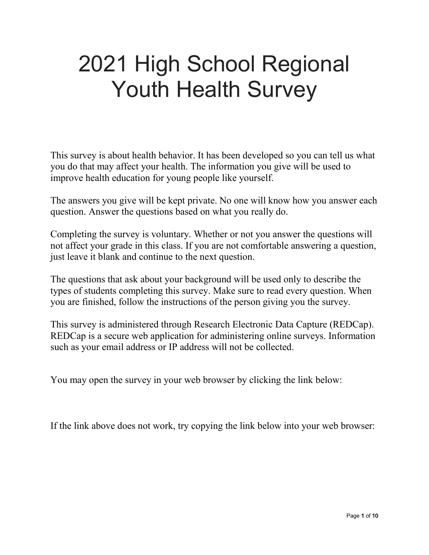# 2021 High School Regional Youth Health Survey

This survey is about health behavior. It has been developed so you can tell us what you do that may affect your health. The information you give will be used to improve health education for young people like yourself.

The answers you give will be kept private. No one will know how you answer each question. Answer the questions based on what you really do.

Completing the survey is voluntary. Whether or not you answer the questions will not affect your grade in this class. If you are not comfortable answering a question, just leave it blank and continue to the next question.

The questions that ask about your background will be used only to describe the types of students completing this survey. Make sure to read every question. When you are finished, follow the instructions of the person giving you the survey.

This survey is administered through Research Electronic Data Capture (REDCap). REDCap is a secure web application for administering online surveys. Information such as your email address or IP address will not be collected.

You may open the survey in your web browser by clicking the link below:

If the link above does not work, try copying the link below into your web browser: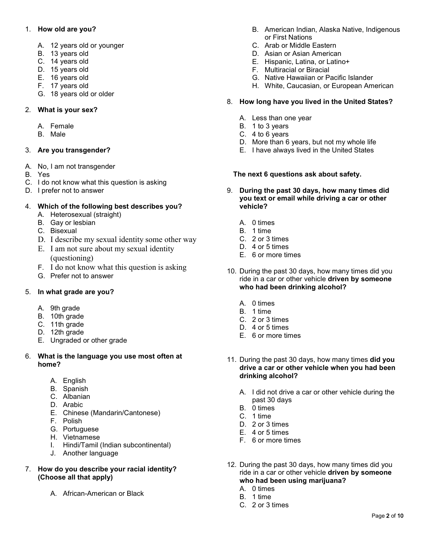## 1. **How old are you?**

- A. 12 years old or younger
- B. 13 years old
- C. 14 years old
- D. 15 years old
- E. 16 years old
- F. 17 years old
- G. 18 years old or older

# 2. **What is your sex?**

- A. Female
- B. Male

## 3. **Are you transgender?**

- A. No, I am not transgender
- B. Yes
- C. I do not know what this question is asking
- D. I prefer not to answer

# 4. **Which of the following best describes you?**

- A. Heterosexual (straight)
- B. Gay or lesbian
- C. Bisexual
- D. I describe my sexual identity some other way
- E. I am not sure about my sexual identity (questioning)
- F. I do not know what this question is asking
- G. Prefer not to answer

# 5. **In what grade are you?**

- A. 9th grade
- B. 10th grade
- C. 11th grade
- D. 12th grade
- E. Ungraded or other grade

## 6. **What is the language you use most often at home?**

- A. English
- B. Spanish
- C. Albanian
- D. Arabic
- E. Chinese (Mandarin/Cantonese)
- F. Polish
- G. Portuguese
- H. Vietnamese
- I. Hindi/Tamil (Indian subcontinental)
- J. Another language

## 7. **How do you describe your racial identity? (Choose all that apply)**

A. African-American or Black

- B. American Indian, Alaska Native, Indigenous or First Nations
- C. Arab or Middle Eastern
- D. Asian or Asian American
- E. Hispanic, Latina, or Latino+
- F. Multiracial or Biracial
- G. Native Hawaiian or Pacific Islander
- H. White, Caucasian, or European American

## 8. **How long have you lived in the United States?**

- A. Less than one year
- B. 1 to 3 years
- C. 4 to 6 years
- D. More than 6 years, but not my whole life
- E. I have always lived in the United States

## **The next 6 questions ask about safety.**

- 9. **During the past 30 days, how many times did you text or email while driving a car or other vehicle?**
	- A. 0 times
	- B. 1 time
	- C. 2 or 3 times
	- D. 4 or 5 times
	- E. 6 or more times
- 10. During the past 30 days, how many times did you ride in a car or other vehicle **driven by someone who had been drinking alcohol?**
	- A. 0 times
	- B. 1 time
	- C. 2 or 3 times
	- D. 4 or 5 times
	- E. 6 or more times
- 11. During the past 30 days, how many times **did you drive a car or other vehicle when you had been drinking alcohol?** 
	- A. I did not drive a car or other vehicle during the past 30 days
	- B. 0 times
	- C. 1 time
	- D. 2 or 3 times
	- E. 4 or 5 times
	- F. 6 or more times
- 12. During the past 30 days, how many times did you ride in a car or other vehicle **driven by someone who had been using marijuana?**
	- A. 0 times
	- B. 1 time
	- C. 2 or 3 times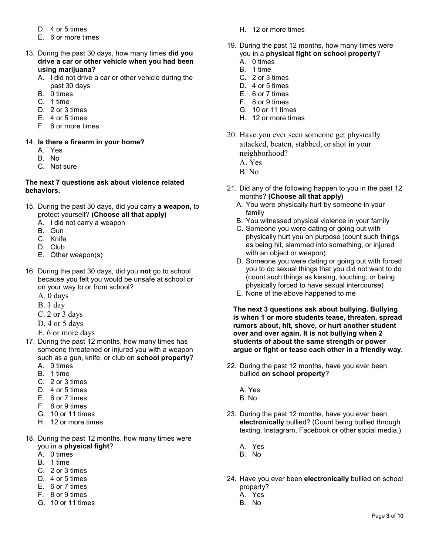- D. 4 or 5 times
- E. 6 or more times
- 13. During the past 30 days, how many times **did you drive a car or other vehicle when you had been using marijuana?** 
	- A. I did not drive a car or other vehicle during the past 30 days
	- B. 0 times
	- C. 1 time
	- D. 2 or 3 times
	- E. 4 or 5 times
	- F. 6 or more times

## 14. **Is there a firearm in your home?**

- A. Yes
- B. No
- C. Not sure

#### **The next 7 questions ask about violence related behaviors.**

- 15. During the past 30 days, did you carry **a weapon,** to protect yourself? **(Choose all that apply)**
	- A. I did not carry a weapon
	- B. Gun
	- C. Knife
	- D. Club
	- E. Other weapon(s)
- 16. During the past 30 days, did you **not** go to school because you felt you would be unsafe at school or on your way to or from school?
	- A. 0 days
	- B. 1 day
	- C. 2 or 3 days
	- D. 4 or 5 days
	- E. 6 or more days
- 17. During the past 12 months, how many times has someone threatened or injured you with a weapon such as a gun, knife, or club on **school property**?
	- A. 0 times
	- B. 1 time
	- C. 2 or 3 times
	- D. 4 or 5 times
	- E. 6 or 7 times
	- F. 8 or 9 times
	- G. 10 or 11 times
	- H. 12 or more times
- 18. During the past 12 months, how many times were you in a **physical fight**?
	- A. 0 times
	- B. 1 time
	- C. 2 or 3 times
	- D. 4 or 5 times
	- E. 6 or 7 times
	- F. 8 or 9 times
	- G. 10 or 11 times
- H. 12 or more times
- 19. During the past 12 months, how many times were you in a **physical fight on school property**?
	- A. 0 times
	- B. 1 time
	- C. 2 or 3 times
	- D. 4 or 5 times
	- E. 6 or 7 times
	- F. 8 or 9 times
	- G. 10 or 11 times
	- H. 12 or more times
- 20. Have you ever seen someone get physically attacked, beaten, stabbed, or shot in your neighborhood?
	- A. Yes
	- B. No
- 21. Did any of the following happen to you in the past 12 months? **(Choose all that apply)**
	- A. You were physically hurt by someone in your family
	- B. You witnessed physical violence in your family
	- C. Someone you were dating or going out with physically hurt you on purpose (count such things as being hit, slammed into something, or injured with an object or weapon)
	- D. Someone you were dating or going out with forced you to do sexual things that you did not want to do (count such things as kissing, touching, or being physically forced to have sexual intercourse)
	- E. None of the above happened to me

**The next 3 questions ask about bullying. Bullying is when 1 or more students tease, threaten, spread rumors about, hit, shove, or hurt another student over and over again. It is not bullying when 2 students of about the same strength or power argue or fight or tease each other in a friendly way.**

- 22. During the past 12 months, have you ever been bullied **on school property**?
	- A. Yes
	- B. No
- 23. During the past 12 months, have you ever been **electronically** bullied? (Count being bullied through texting, Instagram, Facebook or other social media.)
	- A. Yes
	- B. No
- 24. Have you ever been **electronically** bullied on school property?
	- A. Yes
	- B. No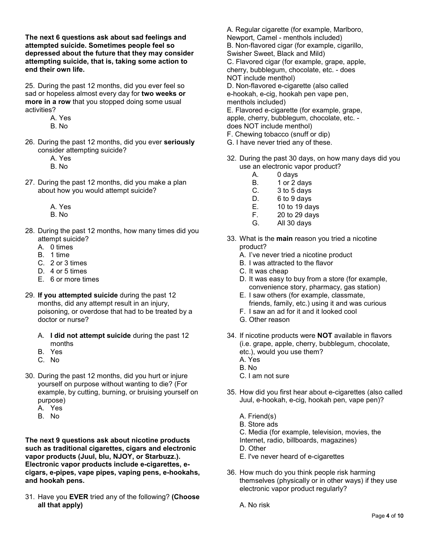**The next 6 questions ask about sad feelings and attempted suicide. Sometimes people feel so depressed about the future that they may consider attempting suicide, that is, taking some action to end their own life.**

25. During the past 12 months, did you ever feel so sad or hopeless almost every day for **two weeks or more in a row** that you stopped doing some usual activities?

- A. Yes
- B. No
- 26. During the past 12 months, did you ever **seriously** consider attempting suicide?
	- A. Yes
	- B. No
- 27. During the past 12 months, did you make a plan about how you would attempt suicide?
	- A. Yes
	- B. No
- 28. During the past 12 months, how many times did you attempt suicide?
	- A. 0 times
	- B. 1 time
	- C. 2 or 3 times
	- D. 4 or 5 times
	- E. 6 or more times
- 29. **If you attempted suicide** during the past 12 months, did any attempt result in an injury, poisoning, or overdose that had to be treated by a doctor or nurse?
	- A. **I did not attempt suicide** during the past 12 months
	- B. Yes
	- C. No
- 30. During the past 12 months, did you hurt or injure yourself on purpose without wanting to die? (For example, by cutting, burning, or bruising yourself on purpose)
	- A. Yes
	- B. No

**The next 9 questions ask about nicotine products such as traditional cigarettes, cigars and electronic vapor products (Juul, blu, NJOY, or Starbuzz.). Electronic vapor products include e-cigarettes, ecigars, e-pipes, vape pipes, vaping pens, e-hookahs, and hookah pens.**

31. Have you **EVER** tried any of the following? **(Choose all that apply)**

A. Regular cigarette (for example, Marlboro, Newport, Camel - menthols included) B. Non-flavored cigar (for example, cigarillo, Swisher Sweet, Black and Mild) C. Flavored cigar (for example, grape, apple, cherry, bubblegum, chocolate, etc. - does NOT include menthol) D. Non-flavored e-cigarette (also called e-hookah, e-cig, hookah pen vape pen, menthols included) E. Flavored e-cigarette (for example, grape, apple, cherry, bubblegum, chocolate, etc. does NOT include menthol) F. Chewing tobacco (snuff or dip)

- G. I have never tried any of these.
- 32. During the past 30 days, on how many days did you use an electronic vapor product?
	- A. 0 days
	- B. 1 or 2 days
	- C. 3 to 5 days
	- D. 6 to 9 days
	- E. 10 to 19 days
	- F. 20 to 29 days
	- G. All 30 days
- 33. What is the **main** reason you tried a nicotine product?
	- A. I've never tried a nicotine product
	- B. I was attracted to the flavor
	- C. It was cheap
	- D. It was easy to buy from a store (for example, convenience story, pharmacy, gas station)
	- E. I saw others (for example, classmate, friends, family, etc.) using it and was curious
	- F. I saw an ad for it and it looked cool
	- G. Other reason
- 34. If nicotine products were **NOT** available in flavors (i.e. grape, apple, cherry, bubblegum, chocolate, etc.), would you use them?
	- A. Yes
	- B. No
	- C. I am not sure
- 35. How did you first hear about e-cigarettes (also called Juul, e-hookah, e-cig, hookah pen, vape pen)?
	- A. Friend(s)
	- B. Store ads
	- C. Media (for example, television, movies, the Internet, radio, billboards, magazines)
	- D. Other
	- E. I've never heard of e-cigarettes
- 36. How much do you think people risk harming themselves (physically or in other ways) if they use electronic vapor product regularly?
	- A. No risk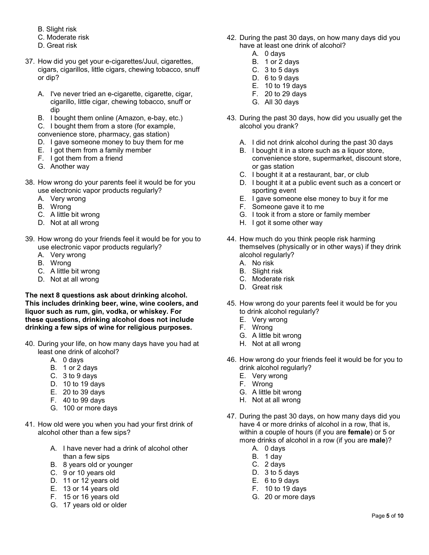- B. Slight risk
- C. Moderate risk
- D. Great risk
- 37. How did you get your e-cigarettes/Juul, cigarettes, cigars, cigarillos, little cigars, chewing tobacco, snuff or dip?
	- A. I've never tried an e-cigarette, cigarette, cigar, cigarillo, little cigar, chewing tobacco, snuff or dip
	- B. I bought them online (Amazon, e-bay, etc.)

C. I bought them from a store (for example,

convenience store, pharmacy, gas station)

- D. I gave someone money to buy them for me
- E. I got them from a family member
- F. I got them from a friend
- G. Another way
- 38. How wrong do your parents feel it would be for you use electronic vapor products regularly?
	- A. Very wrong
	- B. Wrong
	- C. A little bit wrong
	- D. Not at all wrong
- 39. How wrong do your friends feel it would be for you to use electronic vapor products regularly?
	- A. Very wrong
	- B. Wrong
	- C. A little bit wrong
	- D. Not at all wrong

**The next 8 questions ask about drinking alcohol. This includes drinking beer, wine, wine coolers, and liquor such as rum, gin, vodka, or whiskey. For these questions, drinking alcohol does not include drinking a few sips of wine for religious purposes.**

- 40. During your life, on how many days have you had at least one drink of alcohol?
	- A. 0 days
	- B. 1 or 2 days
	- C. 3 to 9 days
	- D. 10 to 19 days
	- E. 20 to 39 days
	- F. 40 to 99 days
	- G. 100 or more days
- 41. How old were you when you had your first drink of alcohol other than a few sips?
	- A. I have never had a drink of alcohol other than a few sips
	- B. 8 years old or younger
	- C. 9 or 10 years old
	- D. 11 or 12 years old
	- E. 13 or 14 years old
	- F. 15 or 16 years old
	- G. 17 years old or older
- 42. During the past 30 days, on how many days did you have at least one drink of alcohol?
	- A. 0 days
	- B. 1 or 2 days
	- C. 3 to 5 days
	- D. 6 to 9 days
	- E. 10 to 19 days
	- F. 20 to 29 days G. All 30 days

alcohol you drank?

- 43. During the past 30 days, how did you usually get the
	- A. I did not drink alcohol during the past 30 days
	- B. I bought it in a store such as a liquor store, convenience store, supermarket, discount store, or gas station
	- C. I bought it at a restaurant, bar, or club
	- D. I bought it at a public event such as a concert or sporting event
	- E. I gave someone else money to buy it for me
	- F. Someone gave it to me
	- G. I took it from a store or family member
	- H. I got it some other way
- 44. How much do you think people risk harming themselves (physically or in other ways) if they drink alcohol regularly?
	- A. No risk
	- B. Slight risk
	- C. Moderate risk
	- D. Great risk
- 45. How wrong do your parents feel it would be for you to drink alcohol regularly?
	- E. Very wrong
	- F. Wrong
	- G. A little bit wrong
	- H. Not at all wrong
- 46. How wrong do your friends feel it would be for you to drink alcohol regularly?
	- E. Very wrong
	- F. Wrong
	- G. A little bit wrong
	- H. Not at all wrong
- 47. During the past 30 days, on how many days did you have 4 or more drinks of alcohol in a row, that is, within a couple of hours (if you are **female**) or 5 or more drinks of alcohol in a row (if you are **male**)?
	- A. 0 days
	- B. 1 day
	- C. 2 days
	- D. 3 to 5 days
	- E. 6 to 9 days
	- F. 10 to 19 days
	- G. 20 or more days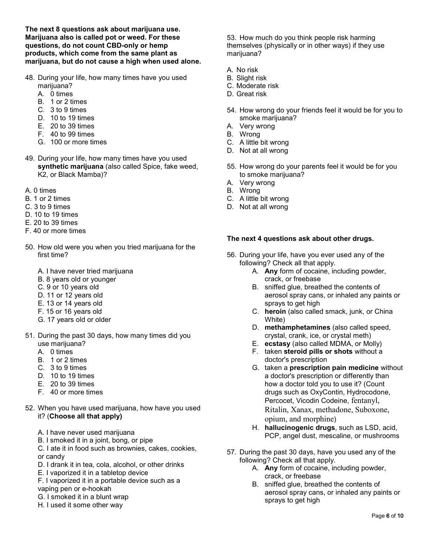**The next 8 questions ask about marijuana use. Marijuana also is called pot or weed. For these questions, do not count CBD-only or hemp products, which come from the same plant as marijuana, but do not cause a high when used alone.**

- 48. During your life, how many times have you used marijuana?
	- A. 0 times
	- B. 1 or 2 times
	- C. 3 to 9 times
	- D. 10 to 19 times
	- E. 20 to 39 times
	- F. 40 to 99 times
	- G. 100 or more times
- 49. During your life, how many times have you used **synthetic marijuana** (also called Spice, fake weed, K2, or Black Mamba)?
- A. 0 times
- B. 1 or 2 times
- C. 3 to 9 times
- D. 10 to 19 times
- E. 20 to 39 times
- F. 40 or more times
- 50. How old were you when you tried marijuana for the first time?
	- A. I have never tried marijuana
	- B. 8 years old or younger
	- C. 9 or 10 years old
	- D. 11 or 12 years old
	- E. 13 or 14 years old
	- F. 15 or 16 years old
	- G. 17 years old or older
- 51. During the past 30 days, how many times did you use marijuana?
	- A. 0 times
	- B. 1 or 2 times
	- C. 3 to 9 times
	- D. 10 to 19 times
	- E. 20 to 39 times
	- F. 40 or more times
- 52. When you have used marijuana, how have you used it? (**Choose all that apply)**
	- A. I have never used marijuana
	- B. I smoked it in a joint, bong, or pipe
	- C. I ate it in food such as brownies, cakes, cookies, or candy
	- D. I drank it in tea, cola, alcohol, or other drinks
	- E. I vaporized it in a tabletop device
	- F. I vaporized it in a portable device such as a vaping pen or e-hookah
	- G. I smoked it in a blunt wrap
	- H. I used it some other way

53. How much do you think people risk harming themselves (physically or in other ways) if they use marijuana?

- A. No risk
- B. Slight risk
- C. Moderate risk
- D. Great risk
- 54. How wrong do your friends feel it would be for you to smoke marijuana?
- A. Very wrong
- B. Wrong
- C. A little bit wrong
- D. Not at all wrong
- 55. How wrong do your parents feel it would be for you to smoke marijuana?
- A. Very wrong
- B. Wrong
- C. A little bit wrong
- D. Not at all wrong

#### **The next 4 questions ask about other drugs.**

- 56. During your life, have you ever used any of the following? Check all that apply.
	- A. **Any** form of cocaine, including powder, crack, or freebase
	- B. sniffed glue, breathed the contents of aerosol spray cans, or inhaled any paints or sprays to get high
	- C. **heroin** (also called smack, junk, or China White)
	- D. **methamphetamines** (also called speed, crystal, crank, ice, or crystal meth)
	- E. **ecstasy** (also called MDMA, or Molly)
	- F. taken **steroid pills or shots** without a doctor's prescription
	- G. taken a **prescription pain medicine** without a doctor's prescription or differently than how a doctor told you to use it? (Count drugs such as OxyContin, Hydrocodone, Percocet, Vicodin Codeine, fentanyl, Ritalin, Xanax, methadone, Suboxone, opium, and morphine)
	- H. **hallucinogenic drugs**, such as LSD, acid, PCP, angel dust, mescaline, or mushrooms
- 57. During the past 30 days, have you used any of the following? Check all that apply.
	- A. **Any** form of cocaine, including powder, crack, or freebase
	- B. sniffed glue, breathed the contents of aerosol spray cans, or inhaled any paints or sprays to get high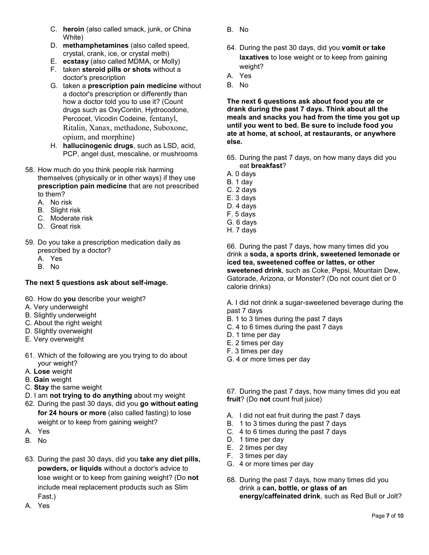- C. **heroin** (also called smack, junk, or China White)
- D. **methamphetamines** (also called speed, crystal, crank, ice, or crystal meth)
- E. **ecstasy** (also called MDMA, or Molly)
- F. taken **steroid pills or shots** without a doctor's prescription
- G. taken a **prescription pain medicine** without a doctor's prescription or differently than how a doctor told you to use it? (Count drugs such as OxyContin, Hydrocodone, Percocet, Vicodin Codeine, fentanyl, Ritalin, Xanax, methadone, Suboxone, opium, and morphine)
- H. **hallucinogenic drugs**, such as LSD, acid, PCP, angel dust, mescaline, or mushrooms
- 58. How much do you think people risk harming themselves (physically or in other ways) if they use **prescription pain medicine** that are not prescribed to them?
	- A. No risk
	- B. Slight risk
	- C. Moderate risk
	- D. Great risk
- 59. Do you take a prescription medication daily as prescribed by a doctor?
	- A. Yes
	- B. No

# **The next 5 questions ask about self-image.**

- 60. How do **you** describe your weight?
- A. Very underweight
- B. Slightly underweight
- C. About the right weight
- D. Slightly overweight
- E. Very overweight
- 61. Which of the following are you trying to do about your weight?
- A. **Lose** weight
- B. **Gain** weight
- C. **Stay** the same weight
- D. I am **not trying to do anything** about my weight
- 62. During the past 30 days, did you **go without eating for 24 hours or more** (also called fasting) to lose weight or to keep from gaining weight?
- A. Yes
- B. No
- 63. During the past 30 days, did you **take any diet pills, powders, or liquids** without a doctor's advice to lose weight or to keep from gaining weight? (Do **not**  include meal replacement products such as Slim Fast.)
- A. Yes
- B. No
- 64. During the past 30 days, did you **vomit or take laxatives** to lose weight or to keep from gaining weight?
- A. Yes
- B. No

**The next 6 questions ask about food you ate or drank during the past 7 days. Think about all the meals and snacks you had from the time you got up until you went to bed. Be sure to include food you ate at home, at school, at restaurants, or anywhere else.**

- 65. During the past 7 days, on how many days did you eat **breakfast**?
- A. 0 days
- B. 1 day
- C. 2 days
- E. 3 days
- D. 4 days
- F. 5 days
- G. 6 days
- H. 7 days

66. During the past 7 days, how many times did you drink a **soda, a sports drink, sweetened lemonade or iced tea, sweetened coffee or lattes, or other sweetened drink**, such as Coke, Pepsi, Mountain Dew, Gatorade, Arizona, or Monster? (Do not count diet or 0 calorie drinks)

A. I did not drink a sugar-sweetened beverage during the past 7 days

- B. 1 to 3 times during the past 7 days
- C. 4 to 6 times during the past 7 days
- D. 1 time per day
- E. 2 times per day
- F. 3 times per day
- G. 4 or more times per day

67. During the past 7 days, how many times did you eat **fruit**? (Do **not** count fruit juice)

- A. I did not eat fruit during the past 7 days
- B. 1 to 3 times during the past 7 days
- C. 4 to 6 times during the past 7 days
- D. 1 time per day
- E. 2 times per day
- F. 3 times per day
- G. 4 or more times per day
- 68. During the past 7 days, how many times did you drink a **can, bottle, or glass of an energy/caffeinated drink**, such as Red Bull or Jolt?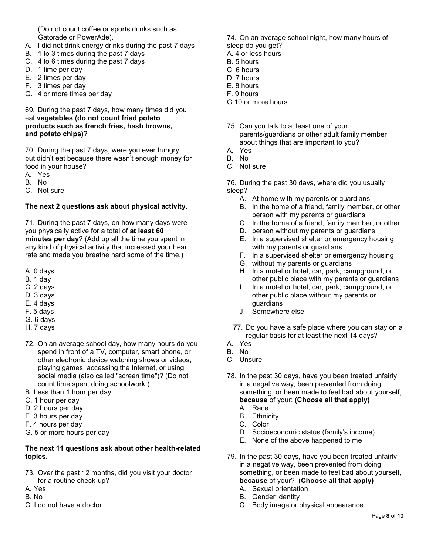(Do not count coffee or sports drinks such as Gatorade or PowerAde).

- A. I did not drink energy drinks during the past 7 days
- B. 1 to 3 times during the past 7 days
- C. 4 to 6 times during the past 7 days
- D. 1 time per day
- E. 2 times per day
- F. 3 times per day
- G. 4 or more times per day

#### 69. During the past 7 days, how many times did you eat **vegetables (do not count fried potato products such as french fries, hash browns, and potato chips)**?

70. During the past 7 days, were you ever hungry but didn't eat because there wasn't enough money for food in your house?

- A. Yes
- B. No
- C. Not sure

## **The next 2 questions ask about physical activity.**

71. During the past 7 days, on how many days were you physically active for a total of **at least 60 minutes per day**? (Add up all the time you spent in any kind of physical activity that increased your heart rate and made you breathe hard some of the time.)

- A. 0 days
- B. 1 day
- C. 2 days
- D. 3 days
- E. 4 days
- F. 5 days
- G. 6 days
- H. 7 days
- 72. On an average school day, how many hours do you spend in front of a TV, computer, smart phone, or other electronic device watching shows or videos, playing games, accessing the Internet, or using social media (also called "screen time")? (Do not count time spent doing schoolwork.)
- B. Less than 1 hour per day
- C. 1 hour per day
- D. 2 hours per day
- E. 3 hours per day
- F. 4 hours per day
- G. 5 or more hours per day

#### **The next 11 questions ask about other health-related topics.**

- 73. Over the past 12 months, did you visit your doctor for a routine check-up?
- A. Yes
- B. No
- C. I do not have a doctor
- 74. On an average school night, how many hours of sleep do you get?
- A. 4 or less hours
- B. 5 hours
- C. 6 hours
- D. 7 hours
- E. 8 hours
- F. 9 hours
- G.10 or more hours
- 75. Can you talk to at least one of your parents/guardians or other adult family member about things that are important to you?
- A. Yes
- B. No
- C. Not sure

76. During the past 30 days, where did you usually sleep?

- A. At home with my parents or guardians
- B. In the home of a friend, family member, or other person with my parents or guardians
- C. In the home of a friend, family member, or other
- D. person without my parents or guardians
- E. In a supervised shelter or emergency housing with my parents or guardians
- F. In a supervised shelter or emergency housing
- G. without my parents or guardians
- H. In a motel or hotel, car, park, campground, or other public place with my parents or guardians
- I. In a motel or hotel, car, park, campground, or other public place without my parents or guardians
- J. Somewhere else
- 77. Do you have a safe place where you can stay on a regular basis for at least the next 14 days?
- A. Yes
- B. No
- C. Unsure
- 78. In the past 30 days, have you been treated unfairly in a negative way, been prevented from doing something, or been made to feel bad about yourself, **because** of your: **(Choose all that apply)**
	- A. Race
	- B. Ethnicity
	- C. Color
	- D. Socioeconomic status (family's income)
	- E. None of the above happened to me
- 79. In the past 30 days, have you been treated unfairly in a negative way, been prevented from doing something, or been made to feel bad about yourself, **because** of your? **(Choose all that apply)**
	- A. Sexual orientation
	- B. Gender identity
	- C. Body image or physical appearance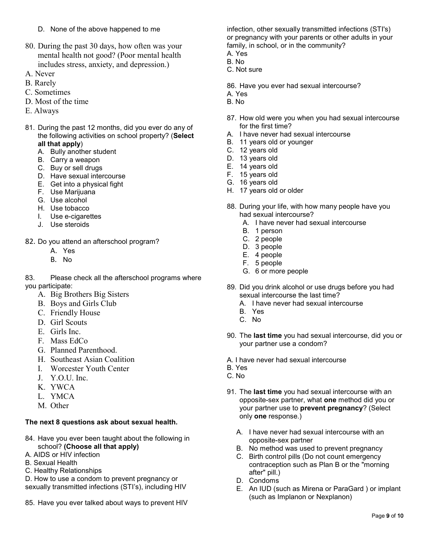- D. None of the above happened to me
- 80. During the past 30 days, how often was your mental health not good? (Poor mental health includes stress, anxiety, and depression.)
- A. Never
- B. Rarely
- C. Sometimes
- D. Most of the time
- E. Always
- 81. During the past 12 months, did you ever do any of the following activities on school property? (**Select all that apply**)
	- A. Bully another student
	- B. Carry a weapon
	- C. Buy or sell drugs
	- D. Have sexual intercourse
	- E. Get into a physical fight
	- F. Use Marijuana
	- G. Use alcohol
	- H. Use tobacco
	- I. Use e-cigarettes
	- J. Use steroids
- 82. Do you attend an afterschool program?
	- A. Yes
	- B. No
- 83. Please check all the afterschool programs where you participate:
	- A. Big Brothers Big Sisters
	- B. Boys and Girls Club
	- C. Friendly House
	- D. Girl Scouts
	- E. Girls Inc.
	- F. Mass EdCo
	- G. Planned Parenthood.
	- H. Southeast Asian Coalition
	- I. Worcester Youth Center
	- J. Y.O.U. Inc.
	- K. YWCA
	- L. YMCA
	- M. Other

#### **The next 8 questions ask about sexual health.**

- 84. Have you ever been taught about the following in school? **(Choose all that apply)**
- A. AIDS or HIV infection
- B. Sexual Health
- C. Healthy Relationships
- D. How to use a condom to prevent pregnancy or
- sexually transmitted infections (STI's), including HIV
- 85. Have you ever talked about ways to prevent HIV

infection, other sexually transmitted infections (STI's) or pregnancy with your parents or other adults in your family, in school, or in the community?

- A. Yes B. No
- 
- C. Not sure
- 86. Have you ever had sexual intercourse?
- A. Yes
- B. No
- 87. How old were you when you had sexual intercourse for the first time?
- A. I have never had sexual intercourse
- B. 11 years old or younger
- C. 12 years old
- D. 13 years old
- E. 14 years old
- F. 15 years old
- G. 16 years old
- H. 17 years old or older
- 88. During your life, with how many people have you had sexual intercourse?
	- A. I have never had sexual intercourse
	- B. 1 person
	- C. 2 people
	- D. 3 people
	- E. 4 people
	- F. 5 people
	- G. 6 or more people
- 89. Did you drink alcohol or use drugs before you had sexual intercourse the last time?
	- A. I have never had sexual intercourse
	- B. Yes
	- C. No
- 90. The **last time** you had sexual intercourse, did you or your partner use a condom?
- A. I have never had sexual intercourse
- B. Yes
- C. No
- 91. The **last time** you had sexual intercourse with an opposite-sex partner, what **one** method did you or your partner use to **prevent pregnancy**? (Select only **one** response.)
	- A. I have never had sexual intercourse with an opposite-sex partner
	- B. No method was used to prevent pregnancy
	- C. Birth control pills (Do not count emergency contraception such as Plan B or the "morning after" pill.)
	- D. Condoms
	- E. An IUD (such as Mirena or ParaGard ) or implant (such as Implanon or Nexplanon)